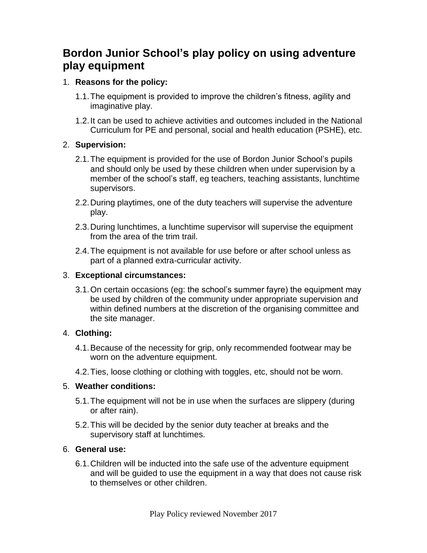# **Bordon Junior School's play policy on using adventure play equipment**

### 1. **Reasons for the policy:**

- 1.1.The equipment is provided to improve the children's fitness, agility and imaginative play.
- 1.2.It can be used to achieve activities and outcomes included in the National Curriculum for PE and personal, social and health education (PSHE), etc.

### 2. **Supervision:**

- 2.1.The equipment is provided for the use of Bordon Junior School's pupils and should only be used by these children when under supervision by a member of the school's staff, eg teachers, teaching assistants, lunchtime supervisors.
- 2.2.During playtimes, one of the duty teachers will supervise the adventure play.
- 2.3.During lunchtimes, a lunchtime supervisor will supervise the equipment from the area of the trim trail.
- 2.4.The equipment is not available for use before or after school unless as part of a planned extra-curricular activity.

### 3. **Exceptional circumstances:**

3.1.On certain occasions (eg: the school's summer fayre) the equipment may be used by children of the community under appropriate supervision and within defined numbers at the discretion of the organising committee and the site manager.

# 4. **Clothing:**

- 4.1.Because of the necessity for grip, only recommended footwear may be worn on the adventure equipment.
- 4.2.Ties, loose clothing or clothing with toggles, etc, should not be worn.

# 5. **Weather conditions:**

- 5.1.The equipment will not be in use when the surfaces are slippery (during or after rain).
- 5.2.This will be decided by the senior duty teacher at breaks and the supervisory staff at lunchtimes.

# 6. **General use:**

6.1.Children will be inducted into the safe use of the adventure equipment and will be guided to use the equipment in a way that does not cause risk to themselves or other children.